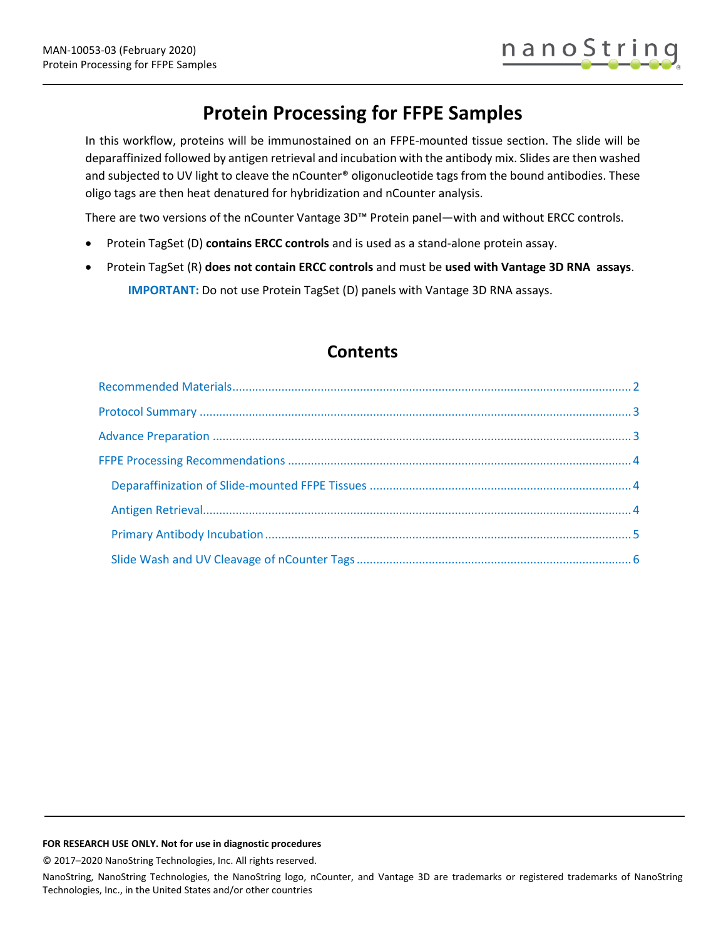# **Protein Processing for FFPE Samples**

In this workflow, proteins will be immunostained on an FFPE-mounted tissue section. The slide will be deparaffinized followed by antigen retrieval and incubation with the antibody mix. Slides are then washed and subjected to UV light to cleave the nCounter® oligonucleotide tags from the bound antibodies. These oligo tags are then heat denatured for hybridization and nCounter analysis.

There are two versions of the nCounter Vantage 3D™ Protein panel—with and without ERCC controls.

- Protein TagSet (D) **contains ERCC controls** and is used as a stand-alone protein assay.
- Protein TagSet (R) **does not contain ERCC controls** and must be **used with Vantage 3D RNA assays**. **IMPORTANT:** Do not use Protein TagSet (D) panels with Vantage 3D RNA assays.

## **Contents**

#### **FOR RESEARCH USE ONLY. Not for use in diagnostic procedures**

© 2017–2020 NanoString Technologies, Inc. All rights reserved.

NanoString, NanoString Technologies, the NanoString logo, nCounter, and Vantage 3D are trademarks or registered trademarks of NanoString Technologies, Inc., in the United States and/or other countries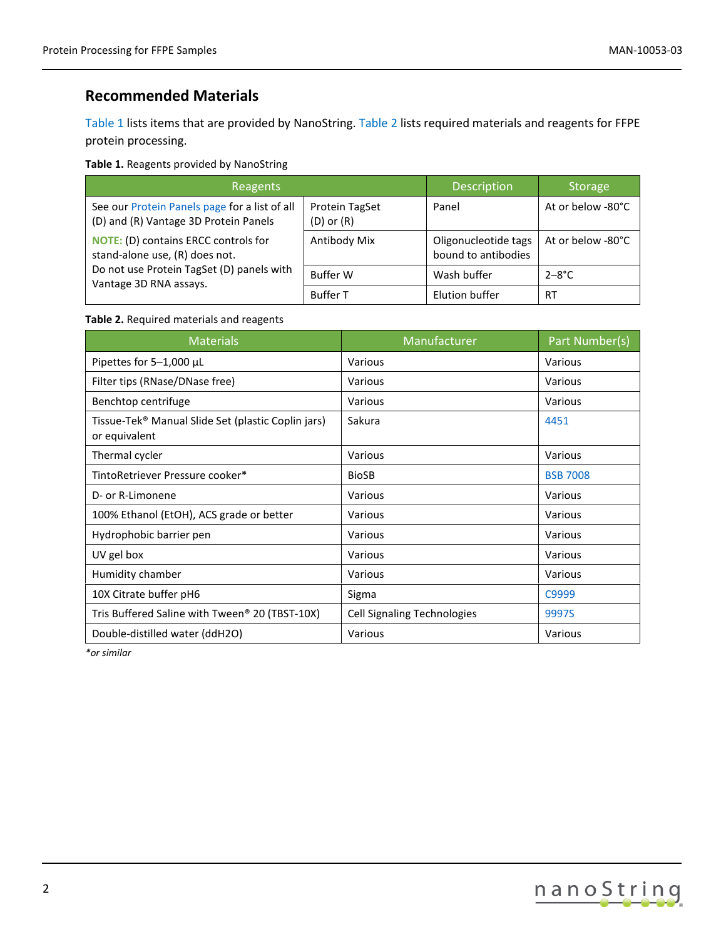### <span id="page-1-0"></span>**Recommended Materials**

[Table 1](#page-1-1) lists items that are provided by NanoString. Table 2 lists required materials and reagents for FFPE protein processing.

<span id="page-1-1"></span>**Table 1.** Reagents provided by NanoString

| Reagents                                                                                                                                             |                                  | Description                                 | <b>Storage</b>    |
|------------------------------------------------------------------------------------------------------------------------------------------------------|----------------------------------|---------------------------------------------|-------------------|
| See our Protein Panels page for a list of all<br>(D) and (R) Vantage 3D Protein Panels                                                               | Protein TagSet<br>$(D)$ or $(R)$ | Panel                                       | At or below -80°C |
| <b>NOTE:</b> (D) contains ERCC controls for<br>stand-alone use, (R) does not.<br>Do not use Protein TagSet (D) panels with<br>Vantage 3D RNA assays. | Antibody Mix                     | Oligonucleotide tags<br>bound to antibodies | At or below -80°C |
|                                                                                                                                                      | <b>Buffer W</b>                  | Wash buffer                                 | $2 - 8$ °C        |
|                                                                                                                                                      | <b>Buffer T</b>                  | Elution buffer                              | <b>RT</b>         |

### **Table 2.** Required materials and reagents

| <b>Materials</b>                                                                | Manufacturer                       | Part Number(s)  |
|---------------------------------------------------------------------------------|------------------------------------|-----------------|
| Pipettes for 5-1,000 µL                                                         | Various                            | Various         |
| Filter tips (RNase/DNase free)                                                  | Various                            | Various         |
| Benchtop centrifuge                                                             | Various                            | Various         |
| Tissue-Tek <sup>®</sup> Manual Slide Set (plastic Coplin jars)<br>or equivalent | Sakura                             | 4451            |
| Thermal cycler                                                                  | Various                            | Various         |
| TintoRetriever Pressure cooker*                                                 | <b>BioSB</b>                       | <b>BSB 7008</b> |
| D- or R-Limonene                                                                | Various                            | Various         |
| 100% Ethanol (EtOH), ACS grade or better                                        | Various                            | Various         |
| Hydrophobic barrier pen                                                         | Various                            | Various         |
| UV gel box                                                                      | Various                            | Various         |
| Humidity chamber                                                                | Various                            | Various         |
| 10X Citrate buffer pH6                                                          | Sigma                              | C9999           |
| Tris Buffered Saline with Tween® 20 (TBST-10X)                                  | <b>Cell Signaling Technologies</b> | 9997S           |
| Double-distilled water (ddH2O)                                                  | Various                            | Various         |

*\*or similar*

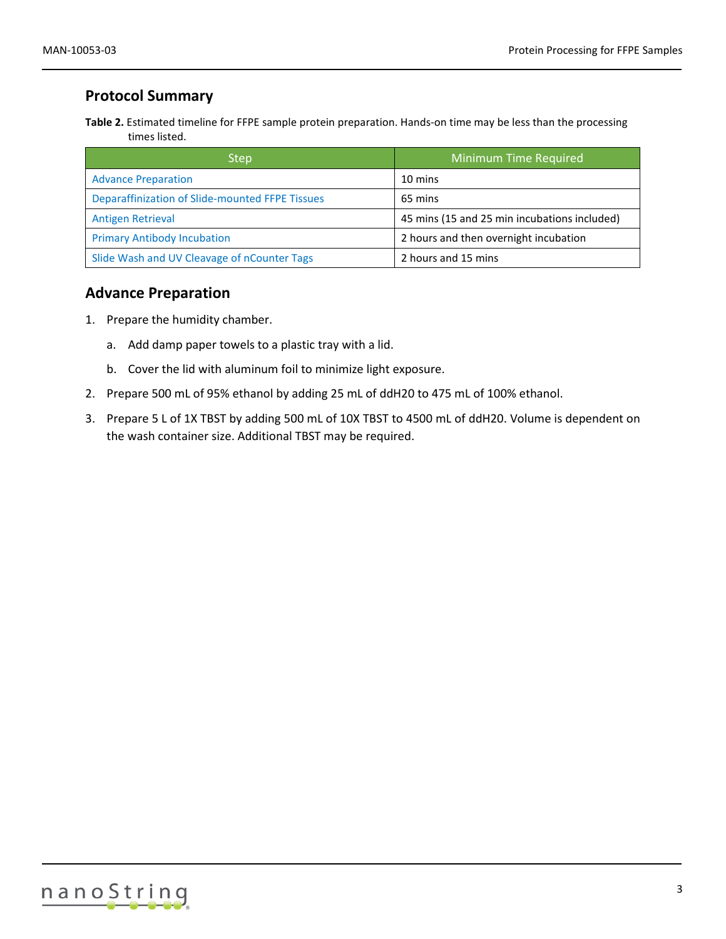### <span id="page-2-0"></span>**Protocol Summary**

**Table 2.** Estimated timeline for FFPE sample protein preparation. Hands-on time may be less than the processing times listed.

| <b>Step</b>                                     | <b>Minimum Time Required</b>                 |
|-------------------------------------------------|----------------------------------------------|
| <b>Advance Preparation</b>                      | 10 mins                                      |
| Deparaffinization of Slide-mounted FFPE Tissues | 65 mins                                      |
| <b>Antigen Retrieval</b>                        | 45 mins (15 and 25 min incubations included) |
| <b>Primary Antibody Incubation</b>              | 2 hours and then overnight incubation        |
| Slide Wash and UV Cleavage of nCounter Tags     | 2 hours and 15 mins                          |

### <span id="page-2-1"></span>**Advance Preparation**

- 1. Prepare the humidity chamber.
	- a. Add damp paper towels to a plastic tray with a lid.
	- b. Cover the lid with aluminum foil to minimize light exposure.
- 2. Prepare 500 mL of 95% ethanol by adding 25 mL of ddH20 to 475 mL of 100% ethanol.
- 3. Prepare 5 L of 1X TBST by adding 500 mL of 10X TBST to 4500 mL of ddH20. Volume is dependent on the wash container size. Additional TBST may be required.

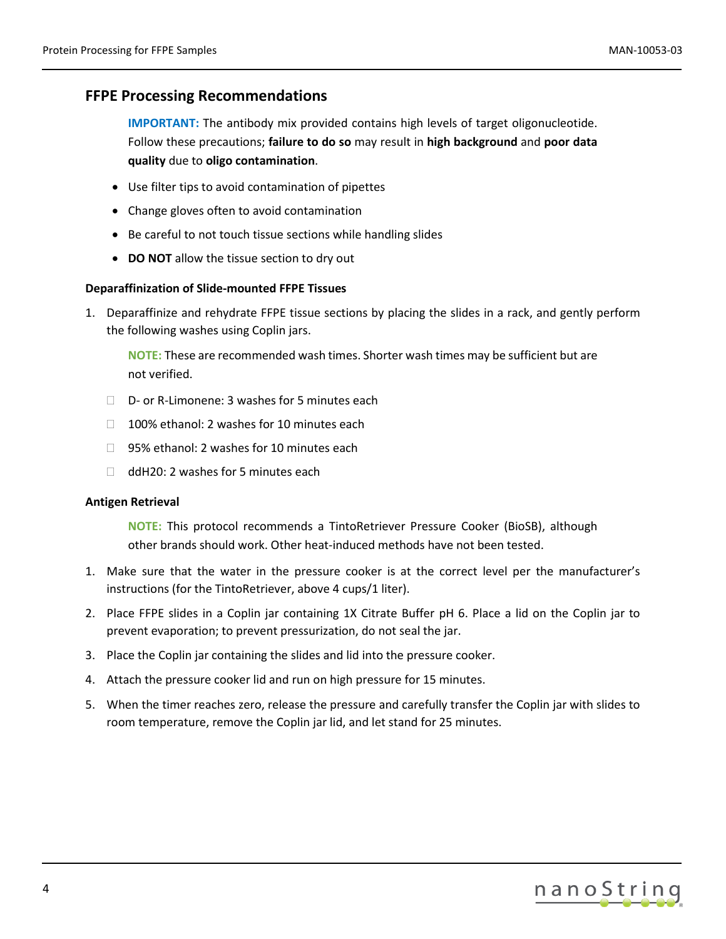### <span id="page-3-0"></span>**FFPE Processing Recommendations**

**IMPORTANT:** The antibody mix provided contains high levels of target oligonucleotide. Follow these precautions; **failure to do so** may result in **high background** and **poor data quality** due to **oligo contamination**.

- Use filter tips to avoid contamination of pipettes
- Change gloves often to avoid contamination
- Be careful to not touch tissue sections while handling slides
- **DO NOT** allow the tissue section to dry out

### <span id="page-3-1"></span>**Deparaffinization of Slide-mounted FFPE Tissues**

1. Deparaffinize and rehydrate FFPE tissue sections by placing the slides in a rack, and gently perform the following washes using Coplin jars.

**NOTE:** These are recommended wash times. Shorter wash times may be sufficient but are not verified.

- □ D- or R-Limonene: 3 washes for 5 minutes each
- $\Box$  100% ethanol: 2 washes for 10 minutes each
- □ 95% ethanol: 2 washes for 10 minutes each
- $\Box$  ddH20: 2 washes for 5 minutes each

### <span id="page-3-2"></span>**Antigen Retrieval**

**NOTE:** This protocol recommends a TintoRetriever Pressure Cooker (BioSB), although other brands should work. Other heat-induced methods have not been tested.

- 1. Make sure that the water in the pressure cooker is at the correct level per the manufacturer's instructions (for the TintoRetriever, above 4 cups/1 liter).
- 2. Place FFPE slides in a Coplin jar containing 1X Citrate Buffer pH 6. Place a lid on the Coplin jar to prevent evaporation; to prevent pressurization, do not seal the jar.
- 3. Place the Coplin jar containing the slides and lid into the pressure cooker.
- 4. Attach the pressure cooker lid and run on high pressure for 15 minutes.
- 5. When the timer reaches zero, release the pressure and carefully transfer the Coplin jar with slides to room temperature, remove the Coplin jar lid, and let stand for 25 minutes.

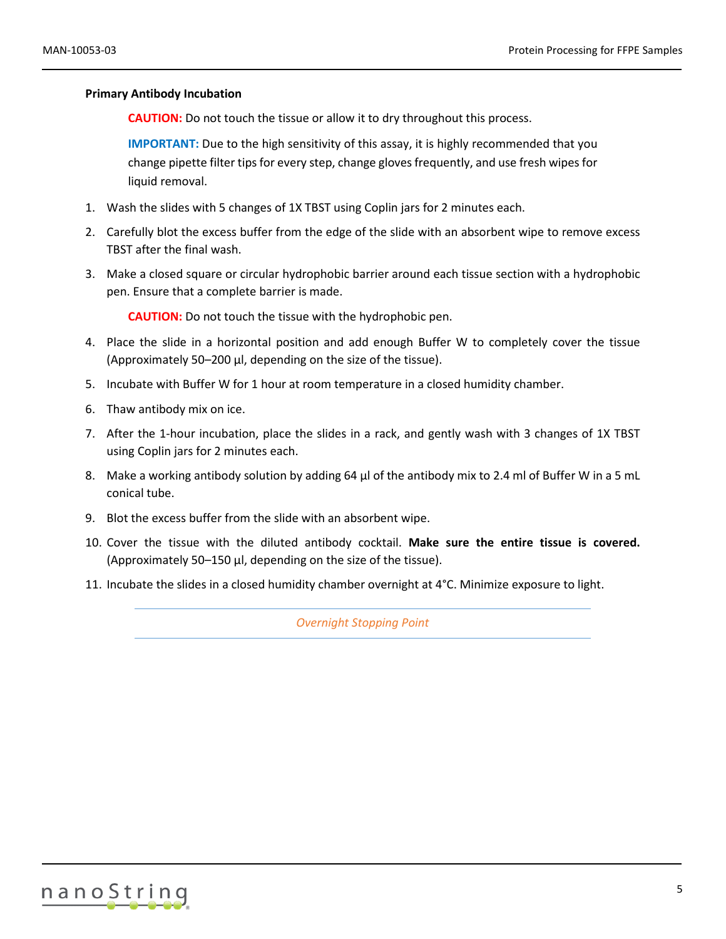### <span id="page-4-0"></span>**Primary Antibody Incubation**

**CAUTION:** Do not touch the tissue or allow it to dry throughout this process.

**IMPORTANT:** Due to the high sensitivity of this assay, it is highly recommended that you change pipette filter tips for every step, change gloves frequently, and use fresh wipes for liquid removal.

- 1. Wash the slides with 5 changes of 1X TBST using Coplin jars for 2 minutes each.
- 2. Carefully blot the excess buffer from the edge of the slide with an absorbent wipe to remove excess TBST after the final wash.
- 3. Make a closed square or circular hydrophobic barrier around each tissue section with a hydrophobic pen. Ensure that a complete barrier is made.

**CAUTION:** Do not touch the tissue with the hydrophobic pen.

- 4. Place the slide in a horizontal position and add enough Buffer W to completely cover the tissue (Approximately 50–200 µl, depending on the size of the tissue).
- 5. Incubate with Buffer W for 1 hour at room temperature in a closed humidity chamber.
- 6. Thaw antibody mix on ice.
- 7. After the 1-hour incubation, place the slides in a rack, and gently wash with 3 changes of 1X TBST using Coplin jars for 2 minutes each.
- 8. Make a working antibody solution by adding 64 µl of the antibody mix to 2.4 ml of Buffer W in a 5 mL conical tube.
- 9. Blot the excess buffer from the slide with an absorbent wipe.
- 10. Cover the tissue with the diluted antibody cocktail. **Make sure the entire tissue is covered.** (Approximately 50–150 µl, depending on the size of the tissue).
- 11. Incubate the slides in a closed humidity chamber overnight at 4°C. Minimize exposure to light.

*Overnight Stopping Point*